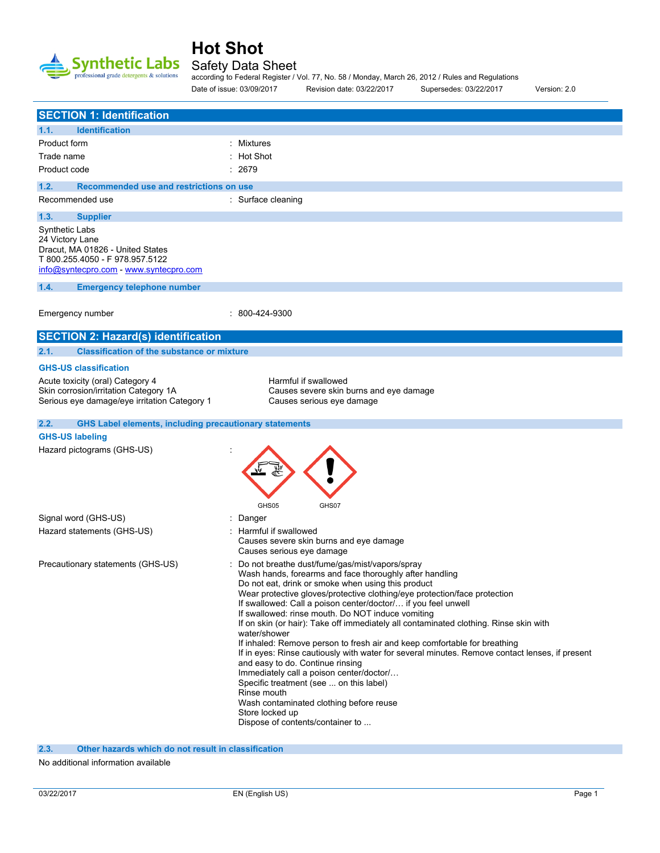

### Safety Data Sheet

according to Federal Register / Vol. 77, No. 58 / Monday, March 26, 2012 / Rules and Regulations Date of issue: 03/09/2017 Revision date: 03/22/2017 Supersedes: 03/22/2017 Version: 2.0

| <b>SECTION 1: Identification</b>                                                                                                                   |                                                                                                                                                                                                                                                                                                                                                                                                                                                                                                                                                                                                                                                                                                                                                                                                                                                                                                        |
|----------------------------------------------------------------------------------------------------------------------------------------------------|--------------------------------------------------------------------------------------------------------------------------------------------------------------------------------------------------------------------------------------------------------------------------------------------------------------------------------------------------------------------------------------------------------------------------------------------------------------------------------------------------------------------------------------------------------------------------------------------------------------------------------------------------------------------------------------------------------------------------------------------------------------------------------------------------------------------------------------------------------------------------------------------------------|
| <b>Identification</b><br>1.1.                                                                                                                      |                                                                                                                                                                                                                                                                                                                                                                                                                                                                                                                                                                                                                                                                                                                                                                                                                                                                                                        |
| Product form                                                                                                                                       | : Mixtures                                                                                                                                                                                                                                                                                                                                                                                                                                                                                                                                                                                                                                                                                                                                                                                                                                                                                             |
| Trade name                                                                                                                                         | : Hot Shot                                                                                                                                                                                                                                                                                                                                                                                                                                                                                                                                                                                                                                                                                                                                                                                                                                                                                             |
| Product code                                                                                                                                       | : 2679                                                                                                                                                                                                                                                                                                                                                                                                                                                                                                                                                                                                                                                                                                                                                                                                                                                                                                 |
| Recommended use and restrictions on use<br>1.2.                                                                                                    |                                                                                                                                                                                                                                                                                                                                                                                                                                                                                                                                                                                                                                                                                                                                                                                                                                                                                                        |
| Recommended use                                                                                                                                    | : Surface cleaning                                                                                                                                                                                                                                                                                                                                                                                                                                                                                                                                                                                                                                                                                                                                                                                                                                                                                     |
| 1.3.<br><b>Supplier</b>                                                                                                                            |                                                                                                                                                                                                                                                                                                                                                                                                                                                                                                                                                                                                                                                                                                                                                                                                                                                                                                        |
| Synthetic Labs<br>24 Victory Lane<br>Dracut, MA 01826 - United States<br>T 800.255.4050 - F 978.957.5122<br>info@syntecpro.com - www.syntecpro.com |                                                                                                                                                                                                                                                                                                                                                                                                                                                                                                                                                                                                                                                                                                                                                                                                                                                                                                        |
| 1.4.<br><b>Emergency telephone number</b>                                                                                                          |                                                                                                                                                                                                                                                                                                                                                                                                                                                                                                                                                                                                                                                                                                                                                                                                                                                                                                        |
| Emergency number                                                                                                                                   | : 800-424-9300                                                                                                                                                                                                                                                                                                                                                                                                                                                                                                                                                                                                                                                                                                                                                                                                                                                                                         |
| <b>SECTION 2: Hazard(s) identification</b>                                                                                                         |                                                                                                                                                                                                                                                                                                                                                                                                                                                                                                                                                                                                                                                                                                                                                                                                                                                                                                        |
| <b>Classification of the substance or mixture</b><br>2.1.                                                                                          |                                                                                                                                                                                                                                                                                                                                                                                                                                                                                                                                                                                                                                                                                                                                                                                                                                                                                                        |
| <b>GHS-US classification</b>                                                                                                                       |                                                                                                                                                                                                                                                                                                                                                                                                                                                                                                                                                                                                                                                                                                                                                                                                                                                                                                        |
| Acute toxicity (oral) Category 4<br>Skin corrosion/irritation Category 1A<br>Serious eye damage/eye irritation Category 1                          | Harmful if swallowed<br>Causes severe skin burns and eye damage<br>Causes serious eye damage                                                                                                                                                                                                                                                                                                                                                                                                                                                                                                                                                                                                                                                                                                                                                                                                           |
| <b>GHS Label elements, including precautionary statements</b><br>2.2.                                                                              |                                                                                                                                                                                                                                                                                                                                                                                                                                                                                                                                                                                                                                                                                                                                                                                                                                                                                                        |
| <b>GHS-US labeling</b>                                                                                                                             |                                                                                                                                                                                                                                                                                                                                                                                                                                                                                                                                                                                                                                                                                                                                                                                                                                                                                                        |
| Hazard pictograms (GHS-US)                                                                                                                         | GHS05<br>GHS07                                                                                                                                                                                                                                                                                                                                                                                                                                                                                                                                                                                                                                                                                                                                                                                                                                                                                         |
| Signal word (GHS-US)                                                                                                                               | Danger                                                                                                                                                                                                                                                                                                                                                                                                                                                                                                                                                                                                                                                                                                                                                                                                                                                                                                 |
| Hazard statements (GHS-US)                                                                                                                         | : Harmful if swallowed<br>Causes severe skin burns and eye damage<br>Causes serious eye damage                                                                                                                                                                                                                                                                                                                                                                                                                                                                                                                                                                                                                                                                                                                                                                                                         |
| Precautionary statements (GHS-US)                                                                                                                  | Do not breathe dust/fume/gas/mist/vapors/spray<br>Wash hands, forearms and face thoroughly after handling<br>Do not eat, drink or smoke when using this product<br>Wear protective gloves/protective clothing/eye protection/face protection<br>If swallowed: Call a poison center/doctor/ if you feel unwell<br>If swallowed: rinse mouth. Do NOT induce vomiting<br>If on skin (or hair): Take off immediately all contaminated clothing. Rinse skin with<br>water/shower<br>If inhaled: Remove person to fresh air and keep comfortable for breathing<br>If in eyes: Rinse cautiously with water for several minutes. Remove contact lenses, if present<br>and easy to do. Continue rinsing<br>Immediately call a poison center/doctor/<br>Specific treatment (see  on this label)<br>Rinse mouth<br>Wash contaminated clothing before reuse<br>Store locked up<br>Dispose of contents/container to |

**2.3. Other hazards which do not result in classification**

No additional information available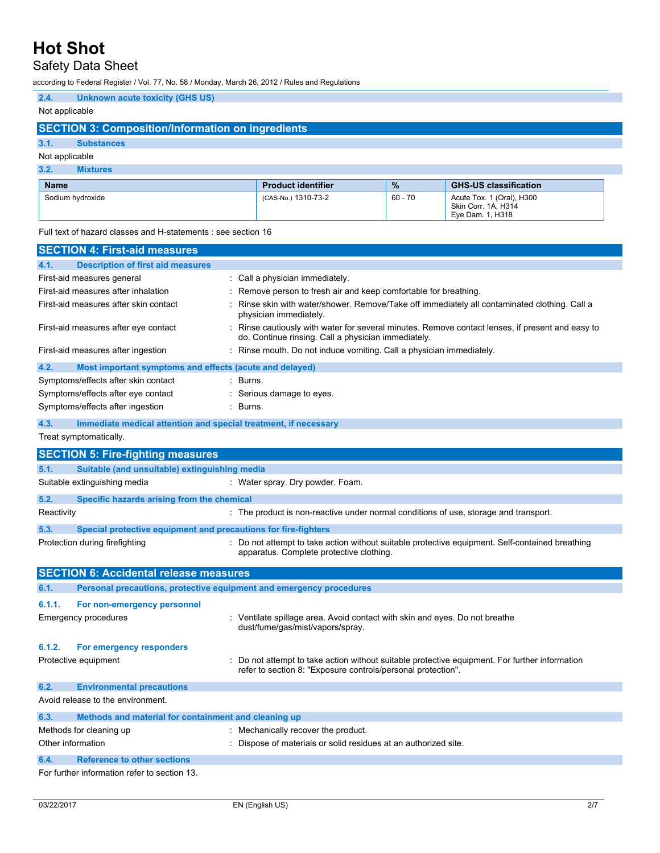# Safety Data Sheet

according to Federal Register / Vol. 77, No. 58 / Monday, March 26, 2012 / Rules and Regulations

| 2.4. | <b>Unknown acute toxicity (GHS US)</b> |  |
|------|----------------------------------------|--|
|      |                                        |  |

### Not applicable

## **SECTION 3: Composition/Information on ingredients**

### **3.1. Substances**

### Not applicable

| <b>Mixtures</b>                                                                                                                                                                                                                |                            |  |
|--------------------------------------------------------------------------------------------------------------------------------------------------------------------------------------------------------------------------------|----------------------------|--|
| <b>Name</b>                                                                                                                                                                                                                    | <b>Product identifier</b>  |  |
| As at the state of the state of the state of the state of the state of the state of the state of the state of the state of the state of the state of the state of the state of the state of the state of the state of the stat | $10.0011$ $10.1070$ $70.0$ |  |

| <b>Name</b>      | <b>Product identifier</b> | $\%$    | <b>GHS-US classification</b>                                         |
|------------------|---------------------------|---------|----------------------------------------------------------------------|
| Sodium hydroxide | (CAS-No.) 1310-73-2       | 60 - 70 | Acute Tox. 1 (Oral), H300<br>Skin Corr. 1A. H314<br>Eve Dam. 1. H318 |

Full text of hazard classes and H-statements : see section 16

| <b>SECTION 4: First-aid measures</b>                                    |                                                                                                                                                                |
|-------------------------------------------------------------------------|----------------------------------------------------------------------------------------------------------------------------------------------------------------|
| <b>Description of first aid measures</b><br>4.1.                        |                                                                                                                                                                |
| First-aid measures general                                              | : Call a physician immediately.                                                                                                                                |
| First-aid measures after inhalation                                     | : Remove person to fresh air and keep comfortable for breathing.                                                                                               |
| First-aid measures after skin contact                                   | Rinse skin with water/shower. Remove/Take off immediately all contaminated clothing. Call a<br>physician immediately.                                          |
| First-aid measures after eye contact                                    | : Rinse cautiously with water for several minutes. Remove contact lenses, if present and easy to<br>do. Continue rinsing. Call a physician immediately.        |
| First-aid measures after ingestion                                      | Rinse mouth. Do not induce vomiting. Call a physician immediately.                                                                                             |
| 4.2.<br>Most important symptoms and effects (acute and delayed)         |                                                                                                                                                                |
| Symptoms/effects after skin contact                                     | : Burns.                                                                                                                                                       |
| Symptoms/effects after eye contact                                      | Serious damage to eyes.                                                                                                                                        |
| Symptoms/effects after ingestion                                        | : Burns.                                                                                                                                                       |
| 4.3.<br>Immediate medical attention and special treatment, if necessary |                                                                                                                                                                |
| Treat symptomatically.                                                  |                                                                                                                                                                |
| <b>SECTION 5: Fire-fighting measures</b>                                |                                                                                                                                                                |
| Suitable (and unsuitable) extinguishing media<br>5.1.                   |                                                                                                                                                                |
| Suitable extinguishing media                                            | : Water spray. Dry powder. Foam.                                                                                                                               |
| 5.2.<br>Specific hazards arising from the chemical                      |                                                                                                                                                                |
| Reactivity                                                              | : The product is non-reactive under normal conditions of use, storage and transport.                                                                           |
| 5.3.<br>Special protective equipment and precautions for fire-fighters  |                                                                                                                                                                |
| Protection during firefighting                                          | : Do not attempt to take action without suitable protective equipment. Self-contained breathing<br>apparatus. Complete protective clothing.                    |
| <b>SECTION 6: Accidental release measures</b>                           |                                                                                                                                                                |
| 6.1.                                                                    | Personal precautions, protective equipment and emergency procedures                                                                                            |
| 6.1.1.<br>For non-emergency personnel                                   |                                                                                                                                                                |
| <b>Emergency procedures</b>                                             | : Ventilate spillage area. Avoid contact with skin and eyes. Do not breathe<br>dust/fume/gas/mist/vapors/spray.                                                |
| 6.1.2.<br>For emergency responders                                      |                                                                                                                                                                |
| Protective equipment                                                    | : Do not attempt to take action without suitable protective equipment. For further information<br>refer to section 8: "Exposure controls/personal protection". |
| 6.2.<br><b>Environmental precautions</b>                                |                                                                                                                                                                |
| Avoid release to the environment.                                       |                                                                                                                                                                |
| Methods and material for containment and cleaning up<br>6.3.            |                                                                                                                                                                |
| Methods for cleaning up                                                 | : Mechanically recover the product.                                                                                                                            |
| Other information                                                       | : Dispose of materials or solid residues at an authorized site.                                                                                                |
| <b>Reference to other sections</b><br>6.4.                              |                                                                                                                                                                |
| For further information refer to section 13                             |                                                                                                                                                                |

For further information refer to section 13.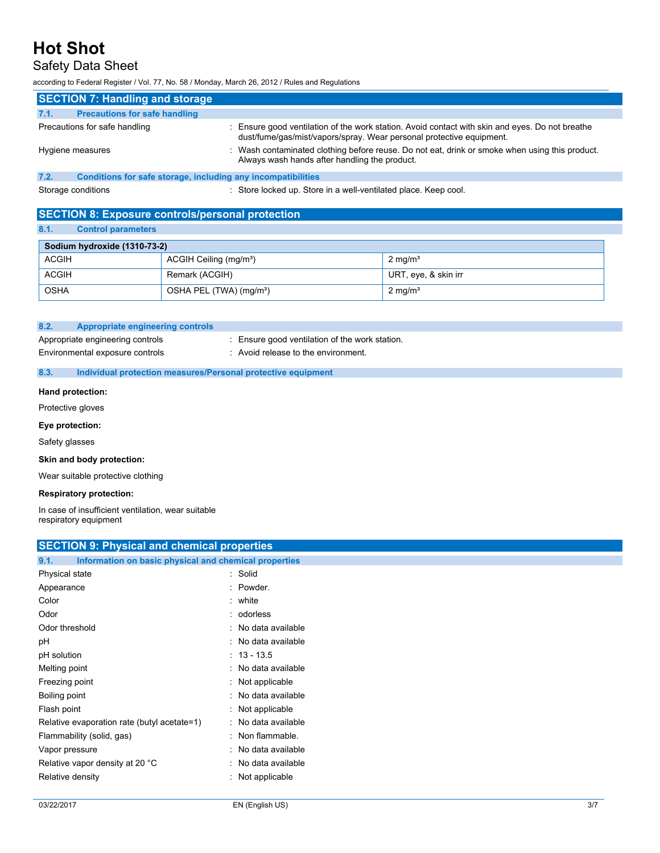## Safety Data Sheet

according to Federal Register / Vol. 77, No. 58 / Monday, March 26, 2012 / Rules and Regulations

| <b>SECTION 7: Handling and storage</b>                               |                                                                                                                                                                       |  |  |
|----------------------------------------------------------------------|-----------------------------------------------------------------------------------------------------------------------------------------------------------------------|--|--|
| <b>Precautions for safe handling</b><br>7.1.                         |                                                                                                                                                                       |  |  |
| Precautions for safe handling                                        | Ensure good ventilation of the work station. Avoid contact with skin and eyes. Do not breathe<br>dust/fume/gas/mist/vapors/spray. Wear personal protective equipment. |  |  |
| Hygiene measures                                                     | : Wash contaminated clothing before reuse. Do not eat, drink or smoke when using this product.<br>Always wash hands after handling the product.                       |  |  |
| 7.2.<br>Conditions for safe storage, including any incompatibilities |                                                                                                                                                                       |  |  |

Storage conditions : Store locked up. Store in a well-ventilated place. Keep cool.

### **SECTION 8: Exposure controls/personal protection**

#### **8.1. Control parameters**

| Sodium hydroxide (1310-73-2) |                                     |                      |
|------------------------------|-------------------------------------|----------------------|
| <b>ACGIH</b>                 | ACGIH Ceiling (mg/m <sup>3</sup> )  | $2 \text{ mg/m}^3$   |
| <b>ACGIH</b>                 | Remark (ACGIH)                      | URT, eye, & skin irr |
| OSHA                         | OSHA PEL (TWA) (mg/m <sup>3</sup> ) | $2 \text{ mg/m}^3$   |

#### **8.2. Appropriate engineering controls**

Environmental exposure controls : Avoid release to the environment.

- Appropriate engineering controls : Ensure good ventilation of the work station.
- **8.3. Individual protection measures/Personal protective equipment**

#### **Hand protection:**

Protective gloves

**Eye protection:**

Safety glasses

**Skin and body protection:**

Wear suitable protective clothing

#### **Respiratory protection:**

In case of insufficient ventilation, wear suitable respiratory equipment

| <b>SECTION 9: Physical and chemical properties</b>            |                     |  |
|---------------------------------------------------------------|---------------------|--|
| 9.1.<br>Information on basic physical and chemical properties |                     |  |
| Physical state                                                | : Solid             |  |
| Appearance                                                    | : Powder.           |  |
| Color                                                         | : white             |  |
| Odor                                                          | : odorless          |  |
| Odor threshold                                                | : No data available |  |
| pH                                                            | : No data available |  |
| pH solution                                                   | $: 13 - 13.5$       |  |
| Melting point                                                 | : No data available |  |
| Freezing point                                                | : Not applicable    |  |
| Boiling point                                                 | : No data available |  |
| Flash point                                                   | Not applicable      |  |
| Relative evaporation rate (butyl acetate=1)                   | : No data available |  |
| Flammability (solid, gas)                                     | : Non flammable.    |  |
| Vapor pressure                                                | : No data available |  |
| Relative vapor density at 20 °C                               | : No data available |  |
| Relative density                                              | Not applicable      |  |
|                                                               |                     |  |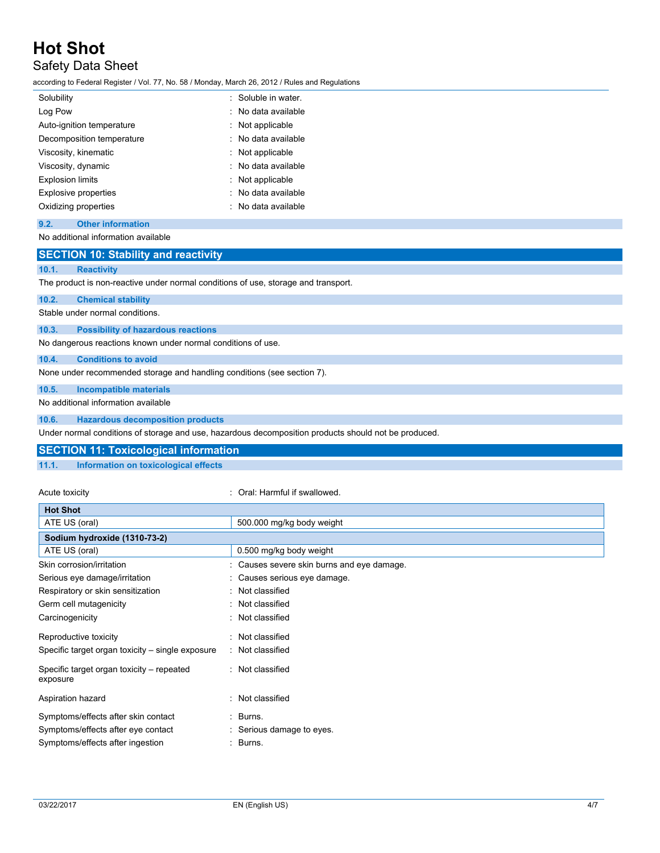## Safety Data Sheet

according to Federal Register / Vol. 77, No. 58 / Monday, March 26, 2012 / Rules and Regulations

| Solubility                | : Soluble in water. |
|---------------------------|---------------------|
| Log Pow                   | : No data available |
| Auto-ignition temperature | : Not applicable    |
| Decomposition temperature | : No data available |
| Viscosity, kinematic      | $:$ Not applicable  |
| Viscosity, dynamic        | : No data available |
| <b>Explosion limits</b>   | $:$ Not applicable  |
| Explosive properties      | : No data available |
| Oxidizing properties      | : No data available |
|                           |                     |

#### **9.2. Other information**

No additional information available

### **SECTION 10: Stability and reactivity**

#### **10.1. Reactivity**

The product is non-reactive under normal conditions of use, storage and transport.

**10.2. Chemical stability**

Stable under normal conditions.

#### **10.3. Possibility of hazardous reactions**

No dangerous reactions known under normal conditions of use.

#### **10.4. Conditions to avoid**

None under recommended storage and handling conditions (see section 7).

#### **10.5. Incompatible materials**

No additional information available

#### **10.6. Hazardous decomposition products**

Under normal conditions of storage and use, hazardous decomposition products should not be produced.

#### **SECTION 11: Toxicological information**

#### **11.1. Information on toxicological effects**

#### Acute toxicity **in the same of the Caucase** of Caucher Coral: Harmful if swallowed.

| <b>Hot Shot</b>                                       |                                            |
|-------------------------------------------------------|--------------------------------------------|
| ATE US (oral)                                         | 500.000 mg/kg body weight                  |
| Sodium hydroxide (1310-73-2)                          |                                            |
| ATE US (oral)                                         | 0.500 mg/kg body weight                    |
| Skin corrosion/irritation                             | : Causes severe skin burns and eye damage. |
| Serious eye damage/irritation                         | : Causes serious eye damage.               |
| Respiratory or skin sensitization                     | : Not classified                           |
| Germ cell mutagenicity                                | : Not classified                           |
| Carcinogenicity                                       | : Not classified                           |
| Reproductive toxicity                                 | : Not classified                           |
| Specific target organ toxicity – single exposure      | : Not classified                           |
| Specific target organ toxicity – repeated<br>exposure | : Not classified                           |
| Aspiration hazard                                     | : Not classified                           |
| Symptoms/effects after skin contact                   | : Burns.                                   |
| Symptoms/effects after eye contact                    | : Serious damage to eyes.                  |
| Symptoms/effects after ingestion                      | : Burns.                                   |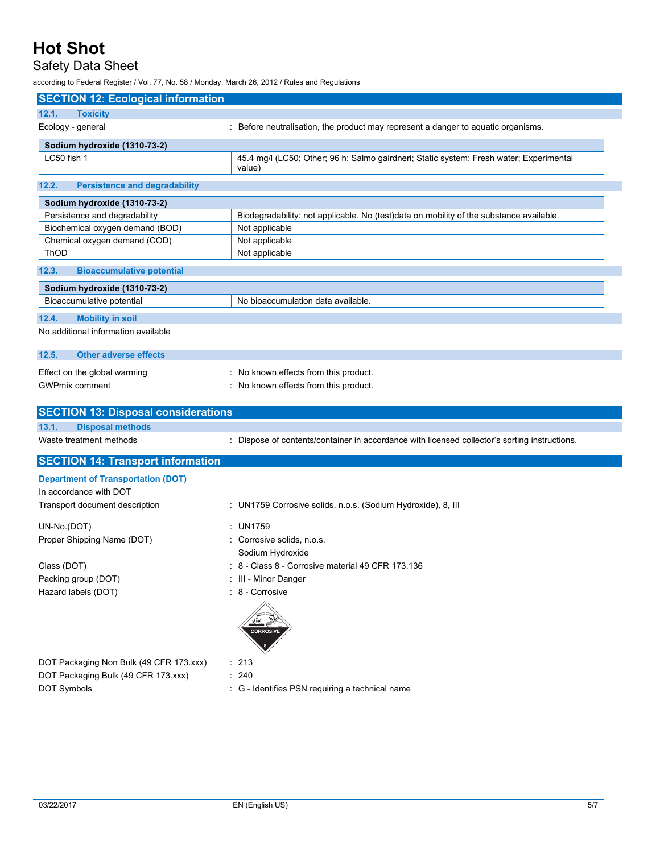# Safety Data Sheet

according to Federal Register / Vol. 77, No. 58 / Monday, March 26, 2012 / Rules and Regulations

| <b>SECTION 12: Ecological information</b>                 |                                                                                                   |  |
|-----------------------------------------------------------|---------------------------------------------------------------------------------------------------|--|
| 12.1.<br><b>Toxicity</b>                                  |                                                                                                   |  |
| Ecology - general                                         | : Before neutralisation, the product may represent a danger to aquatic organisms.                 |  |
| Sodium hydroxide (1310-73-2)                              |                                                                                                   |  |
| LC50 fish 1                                               | 45.4 mg/l (LC50; Other; 96 h; Salmo gairdneri; Static system; Fresh water; Experimental<br>value) |  |
| 12.2.<br><b>Persistence and degradability</b>             |                                                                                                   |  |
| Sodium hydroxide (1310-73-2)                              |                                                                                                   |  |
| Persistence and degradability                             | Biodegradability: not applicable. No (test)data on mobility of the substance available.           |  |
| Biochemical oxygen demand (BOD)                           | Not applicable                                                                                    |  |
| Chemical oxygen demand (COD)                              | Not applicable                                                                                    |  |
| <b>ThOD</b>                                               | Not applicable                                                                                    |  |
| 12.3.<br><b>Bioaccumulative potential</b>                 |                                                                                                   |  |
| Sodium hydroxide (1310-73-2)                              |                                                                                                   |  |
| Bioaccumulative potential                                 | No bioaccumulation data available.                                                                |  |
| 12.4.<br><b>Mobility in soil</b>                          |                                                                                                   |  |
| No additional information available                       |                                                                                                   |  |
| 12.5.<br><b>Other adverse effects</b>                     |                                                                                                   |  |
| Effect on the global warming                              | : No known effects from this product.                                                             |  |
| <b>GWPmix comment</b>                                     | : No known effects from this product.                                                             |  |
|                                                           |                                                                                                   |  |
|                                                           |                                                                                                   |  |
| <b>SECTION 13: Disposal considerations</b>                |                                                                                                   |  |
| 13.1.<br><b>Disposal methods</b>                          |                                                                                                   |  |
| Waste treatment methods                                   | : Dispose of contents/container in accordance with licensed collector's sorting instructions.     |  |
| <b>SECTION 14: Transport information</b>                  |                                                                                                   |  |
| <b>Department of Transportation (DOT)</b>                 |                                                                                                   |  |
| In accordance with DOT                                    |                                                                                                   |  |
| Transport document description                            | : UN1759 Corrosive solids, n.o.s. (Sodium Hydroxide), 8, III                                      |  |
|                                                           |                                                                                                   |  |
| UN-No.(DOT)                                               | : UN1759                                                                                          |  |
| Proper Shipping Name (DOT)                                | Corrosive solids, n.o.s.                                                                          |  |
| Class (DOT)                                               | Sodium Hydroxide<br>: 8 - Class 8 - Corrosive material 49 CFR 173.136                             |  |
|                                                           | : III - Minor Danger                                                                              |  |
| Packing group (DOT)<br>Hazard labels (DOT)                | : 8 - Corrosive                                                                                   |  |
|                                                           | <b>CORROSIVE</b>                                                                                  |  |
|                                                           |                                                                                                   |  |
| DOT Packaging Non Bulk (49 CFR 173.xxx)                   | : 213<br>: 240                                                                                    |  |
| DOT Packaging Bulk (49 CFR 173.xxx)<br><b>DOT Symbols</b> | : G - Identifies PSN requiring a technical name                                                   |  |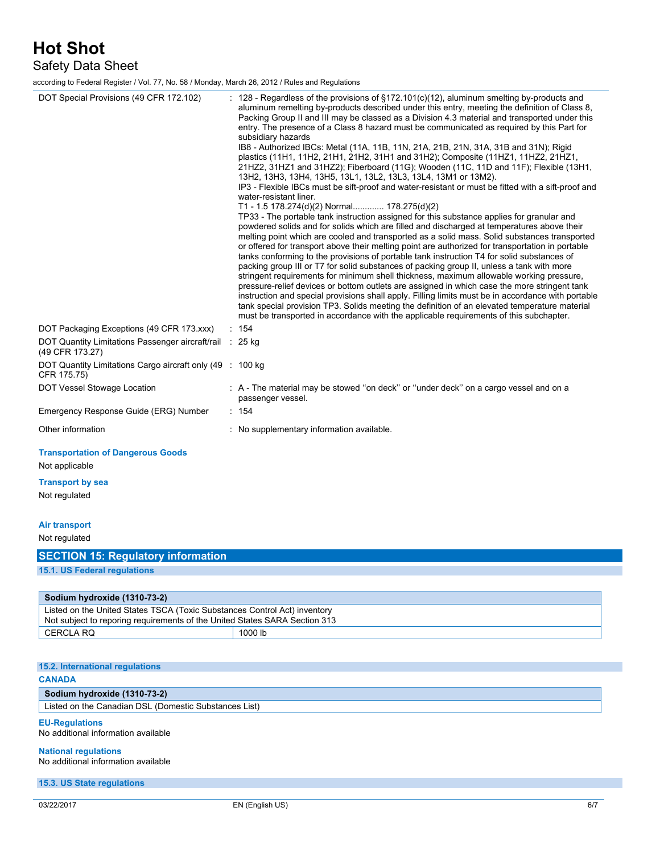Safety Data Sheet

according to Federal Register / Vol. 77, No. 58 / Monday, March 26, 2012 / Rules and Regulations

| DOT Special Provisions (49 CFR 172.102)                                                                                                                 | : 128 - Regardless of the provisions of $\S172.101(c)(12)$ , aluminum smelting by-products and<br>aluminum remelting by-products described under this entry, meeting the definition of Class 8,<br>Packing Group II and III may be classed as a Division 4.3 material and transported under this<br>entry. The presence of a Class 8 hazard must be communicated as required by this Part for<br>subsidiary hazards<br>IB8 - Authorized IBCs: Metal (11A, 11B, 11N, 21A, 21B, 21N, 31A, 31B and 31N); Rigid<br>plastics (11H1, 11H2, 21H1, 21H2, 31H1 and 31H2); Composite (11HZ1, 11HZ2, 21HZ1,<br>21HZ2, 31HZ1 and 31HZ2); Fiberboard (11G); Wooden (11C, 11D and 11F); Flexible (13H1,<br>13H2, 13H3, 13H4, 13H5, 13L1, 13L2, 13L3, 13L4, 13M1 or 13M2).<br>IP3 - Flexible IBCs must be sift-proof and water-resistant or must be fitted with a sift-proof and<br>water-resistant liner.<br>T1 - 1.5 178.274(d)(2) Normal 178.275(d)(2)<br>TP33 - The portable tank instruction assigned for this substance applies for granular and<br>powdered solids and for solids which are filled and discharged at temperatures above their<br>melting point which are cooled and transported as a solid mass. Solid substances transported<br>or offered for transport above their melting point are authorized for transportation in portable<br>tanks conforming to the provisions of portable tank instruction T4 for solid substances of<br>packing group III or T7 for solid substances of packing group II, unless a tank with more<br>stringent requirements for minimum shell thickness, maximum allowable working pressure,<br>pressure-relief devices or bottom outlets are assigned in which case the more stringent tank<br>instruction and special provisions shall apply. Filling limits must be in accordance with portable<br>tank special provision TP3. Solids meeting the definition of an elevated temperature material<br>must be transported in accordance with the applicable requirements of this subchapter. |
|---------------------------------------------------------------------------------------------------------------------------------------------------------|----------------------------------------------------------------------------------------------------------------------------------------------------------------------------------------------------------------------------------------------------------------------------------------------------------------------------------------------------------------------------------------------------------------------------------------------------------------------------------------------------------------------------------------------------------------------------------------------------------------------------------------------------------------------------------------------------------------------------------------------------------------------------------------------------------------------------------------------------------------------------------------------------------------------------------------------------------------------------------------------------------------------------------------------------------------------------------------------------------------------------------------------------------------------------------------------------------------------------------------------------------------------------------------------------------------------------------------------------------------------------------------------------------------------------------------------------------------------------------------------------------------------------------------------------------------------------------------------------------------------------------------------------------------------------------------------------------------------------------------------------------------------------------------------------------------------------------------------------------------------------------------------------------------------------------------------------------------------------------------------------------------------------------|
| DOT Packaging Exceptions (49 CFR 173.xxx)<br>DOT Quantity Limitations Passenger aircraft/rail : 25 kg<br>(49 CFR 173.27)                                | : 154                                                                                                                                                                                                                                                                                                                                                                                                                                                                                                                                                                                                                                                                                                                                                                                                                                                                                                                                                                                                                                                                                                                                                                                                                                                                                                                                                                                                                                                                                                                                                                                                                                                                                                                                                                                                                                                                                                                                                                                                                            |
| DOT Quantity Limitations Cargo aircraft only (49 : 100 kg)<br>CFR 175.75)                                                                               |                                                                                                                                                                                                                                                                                                                                                                                                                                                                                                                                                                                                                                                                                                                                                                                                                                                                                                                                                                                                                                                                                                                                                                                                                                                                                                                                                                                                                                                                                                                                                                                                                                                                                                                                                                                                                                                                                                                                                                                                                                  |
| DOT Vessel Stowage Location                                                                                                                             | : A - The material may be stowed "on deck" or "under deck" on a cargo vessel and on a<br>passenger vessel.                                                                                                                                                                                                                                                                                                                                                                                                                                                                                                                                                                                                                                                                                                                                                                                                                                                                                                                                                                                                                                                                                                                                                                                                                                                                                                                                                                                                                                                                                                                                                                                                                                                                                                                                                                                                                                                                                                                       |
| Emergency Response Guide (ERG) Number                                                                                                                   | : 154                                                                                                                                                                                                                                                                                                                                                                                                                                                                                                                                                                                                                                                                                                                                                                                                                                                                                                                                                                                                                                                                                                                                                                                                                                                                                                                                                                                                                                                                                                                                                                                                                                                                                                                                                                                                                                                                                                                                                                                                                            |
| Other information                                                                                                                                       | : No supplementary information available.                                                                                                                                                                                                                                                                                                                                                                                                                                                                                                                                                                                                                                                                                                                                                                                                                                                                                                                                                                                                                                                                                                                                                                                                                                                                                                                                                                                                                                                                                                                                                                                                                                                                                                                                                                                                                                                                                                                                                                                        |
| <b>Transportation of Dangerous Goods</b><br>Not applicable                                                                                              |                                                                                                                                                                                                                                                                                                                                                                                                                                                                                                                                                                                                                                                                                                                                                                                                                                                                                                                                                                                                                                                                                                                                                                                                                                                                                                                                                                                                                                                                                                                                                                                                                                                                                                                                                                                                                                                                                                                                                                                                                                  |
| <b>Transport by sea</b><br>Not regulated                                                                                                                |                                                                                                                                                                                                                                                                                                                                                                                                                                                                                                                                                                                                                                                                                                                                                                                                                                                                                                                                                                                                                                                                                                                                                                                                                                                                                                                                                                                                                                                                                                                                                                                                                                                                                                                                                                                                                                                                                                                                                                                                                                  |
| Air transport<br>Not regulated                                                                                                                          |                                                                                                                                                                                                                                                                                                                                                                                                                                                                                                                                                                                                                                                                                                                                                                                                                                                                                                                                                                                                                                                                                                                                                                                                                                                                                                                                                                                                                                                                                                                                                                                                                                                                                                                                                                                                                                                                                                                                                                                                                                  |
| <b>SECTION 15: Regulatory information</b>                                                                                                               |                                                                                                                                                                                                                                                                                                                                                                                                                                                                                                                                                                                                                                                                                                                                                                                                                                                                                                                                                                                                                                                                                                                                                                                                                                                                                                                                                                                                                                                                                                                                                                                                                                                                                                                                                                                                                                                                                                                                                                                                                                  |
| <b>15.1. US Federal regulations</b>                                                                                                                     |                                                                                                                                                                                                                                                                                                                                                                                                                                                                                                                                                                                                                                                                                                                                                                                                                                                                                                                                                                                                                                                                                                                                                                                                                                                                                                                                                                                                                                                                                                                                                                                                                                                                                                                                                                                                                                                                                                                                                                                                                                  |
| Sodium hydroxide (1310-73-2)                                                                                                                            |                                                                                                                                                                                                                                                                                                                                                                                                                                                                                                                                                                                                                                                                                                                                                                                                                                                                                                                                                                                                                                                                                                                                                                                                                                                                                                                                                                                                                                                                                                                                                                                                                                                                                                                                                                                                                                                                                                                                                                                                                                  |
| Listed on the United States TSCA (Toxic Substances Control Act) inventory<br>Not subject to reporing requirements of the United States SARA Section 313 |                                                                                                                                                                                                                                                                                                                                                                                                                                                                                                                                                                                                                                                                                                                                                                                                                                                                                                                                                                                                                                                                                                                                                                                                                                                                                                                                                                                                                                                                                                                                                                                                                                                                                                                                                                                                                                                                                                                                                                                                                                  |
| <b>CERCLA RQ</b>                                                                                                                                        | 1000 lb                                                                                                                                                                                                                                                                                                                                                                                                                                                                                                                                                                                                                                                                                                                                                                                                                                                                                                                                                                                                                                                                                                                                                                                                                                                                                                                                                                                                                                                                                                                                                                                                                                                                                                                                                                                                                                                                                                                                                                                                                          |
|                                                                                                                                                         |                                                                                                                                                                                                                                                                                                                                                                                                                                                                                                                                                                                                                                                                                                                                                                                                                                                                                                                                                                                                                                                                                                                                                                                                                                                                                                                                                                                                                                                                                                                                                                                                                                                                                                                                                                                                                                                                                                                                                                                                                                  |
| 15.2. International regulations<br><b>CANADA</b>                                                                                                        |                                                                                                                                                                                                                                                                                                                                                                                                                                                                                                                                                                                                                                                                                                                                                                                                                                                                                                                                                                                                                                                                                                                                                                                                                                                                                                                                                                                                                                                                                                                                                                                                                                                                                                                                                                                                                                                                                                                                                                                                                                  |
| Sodium hydroxide (1310-73-2)                                                                                                                            |                                                                                                                                                                                                                                                                                                                                                                                                                                                                                                                                                                                                                                                                                                                                                                                                                                                                                                                                                                                                                                                                                                                                                                                                                                                                                                                                                                                                                                                                                                                                                                                                                                                                                                                                                                                                                                                                                                                                                                                                                                  |
| Listed on the Canadian DSL (Domestic Substances List)                                                                                                   |                                                                                                                                                                                                                                                                                                                                                                                                                                                                                                                                                                                                                                                                                                                                                                                                                                                                                                                                                                                                                                                                                                                                                                                                                                                                                                                                                                                                                                                                                                                                                                                                                                                                                                                                                                                                                                                                                                                                                                                                                                  |
| <b>EU-Regulations</b><br>No additional information available                                                                                            |                                                                                                                                                                                                                                                                                                                                                                                                                                                                                                                                                                                                                                                                                                                                                                                                                                                                                                                                                                                                                                                                                                                                                                                                                                                                                                                                                                                                                                                                                                                                                                                                                                                                                                                                                                                                                                                                                                                                                                                                                                  |
| <b>National regulations</b><br>No additional information available                                                                                      |                                                                                                                                                                                                                                                                                                                                                                                                                                                                                                                                                                                                                                                                                                                                                                                                                                                                                                                                                                                                                                                                                                                                                                                                                                                                                                                                                                                                                                                                                                                                                                                                                                                                                                                                                                                                                                                                                                                                                                                                                                  |

**15.3. US State regulations**